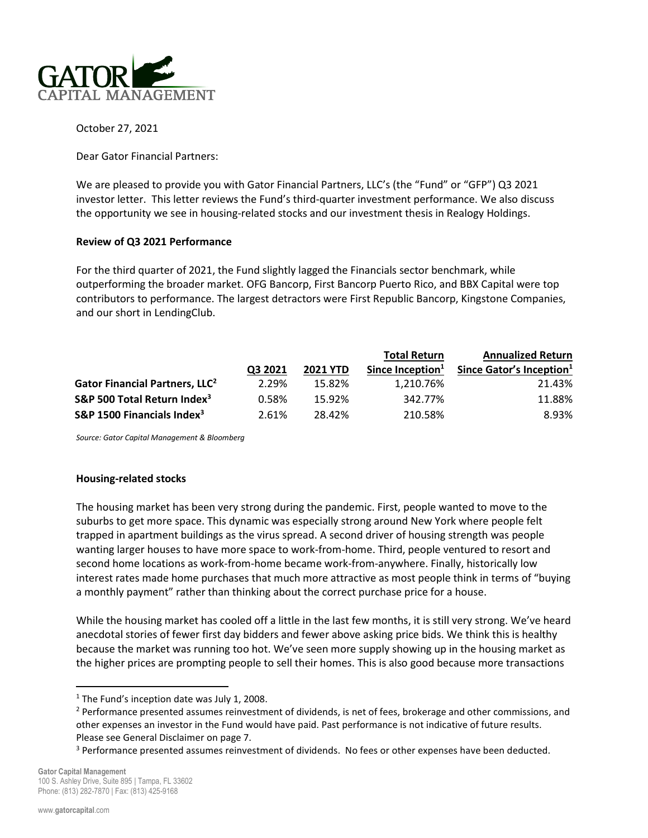

October 27, 2021

Dear Gator Financial Partners:

We are pleased to provide you with Gator Financial Partners, LLC's (the "Fund" or "GFP") Q3 2021 investor letter. This letter reviews the Fund's third-quarter investment performance. We also discuss the opportunity we see in housing-related stocks and our investment thesis in Realogy Holdings.

## Review of Q3 2021 Performance

For the third quarter of 2021, the Fund slightly lagged the Financials sector benchmark, while outperforming the broader market. OFG Bancorp, First Bancorp Puerto Rico, and BBX Capital were top contributors to performance. The largest detractors were First Republic Bancorp, Kingstone Companies, and our short in LendingClub.

|                                            |         |                 | <b>Total Return</b> | <b>Annualized Return</b>             |
|--------------------------------------------|---------|-----------------|---------------------|--------------------------------------|
|                                            | Q3 2021 | <b>2021 YTD</b> | Since Inception $1$ | Since Gator's Inception <sup>1</sup> |
| Gator Financial Partners, LLC <sup>2</sup> | 2.29%   | 15.82%          | 1,210.76%           | 21.43%                               |
| S&P 500 Total Return Index <sup>3</sup>    | 0.58%   | 15.92%          | 342.77%             | 11.88%                               |
| S&P 1500 Financials Index <sup>3</sup>     | 2.61%   | 28.42%          | 210.58%             | 8.93%                                |

Source: Gator Capital Management & Bloomberg

#### Housing-related stocks

The housing market has been very strong during the pandemic. First, people wanted to move to the suburbs to get more space. This dynamic was especially strong around New York where people felt trapped in apartment buildings as the virus spread. A second driver of housing strength was people wanting larger houses to have more space to work-from-home. Third, people ventured to resort and second home locations as work-from-home became work-from-anywhere. Finally, historically low interest rates made home purchases that much more attractive as most people think in terms of "buying a monthly payment" rather than thinking about the correct purchase price for a house.

While the housing market has cooled off a little in the last few months, it is still very strong. We've heard anecdotal stories of fewer first day bidders and fewer above asking price bids. We think this is healthy because the market was running too hot. We've seen more supply showing up in the housing market as the higher prices are prompting people to sell their homes. This is also good because more transactions

<sup>&</sup>lt;sup>1</sup> The Fund's inception date was July 1, 2008.

<sup>&</sup>lt;sup>2</sup> Performance presented assumes reinvestment of dividends, is net of fees, brokerage and other commissions, and other expenses an investor in the Fund would have paid. Past performance is not indicative of future results. Please see General Disclaimer on page 7.

<sup>&</sup>lt;sup>3</sup> Performance presented assumes reinvestment of dividends. No fees or other expenses have been deducted.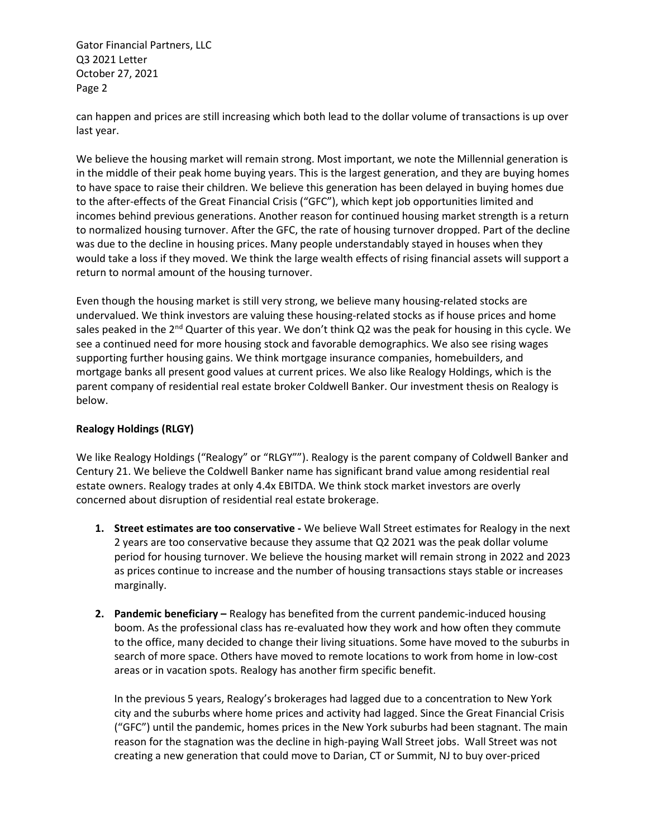can happen and prices are still increasing which both lead to the dollar volume of transactions is up over last year.

We believe the housing market will remain strong. Most important, we note the Millennial generation is in the middle of their peak home buying years. This is the largest generation, and they are buying homes to have space to raise their children. We believe this generation has been delayed in buying homes due to the after-effects of the Great Financial Crisis ("GFC"), which kept job opportunities limited and incomes behind previous generations. Another reason for continued housing market strength is a return to normalized housing turnover. After the GFC, the rate of housing turnover dropped. Part of the decline was due to the decline in housing prices. Many people understandably stayed in houses when they would take a loss if they moved. We think the large wealth effects of rising financial assets will support a return to normal amount of the housing turnover.

Even though the housing market is still very strong, we believe many housing-related stocks are undervalued. We think investors are valuing these housing-related stocks as if house prices and home sales peaked in the 2<sup>nd</sup> Quarter of this year. We don't think Q2 was the peak for housing in this cycle. We see a continued need for more housing stock and favorable demographics. We also see rising wages supporting further housing gains. We think mortgage insurance companies, homebuilders, and mortgage banks all present good values at current prices. We also like Realogy Holdings, which is the parent company of residential real estate broker Coldwell Banker. Our investment thesis on Realogy is below.

# Realogy Holdings (RLGY)

We like Realogy Holdings ("Realogy" or "RLGY""). Realogy is the parent company of Coldwell Banker and Century 21. We believe the Coldwell Banker name has significant brand value among residential real estate owners. Realogy trades at only 4.4x EBITDA. We think stock market investors are overly concerned about disruption of residential real estate brokerage.

- 1. Street estimates are too conservative We believe Wall Street estimates for Realogy in the next 2 years are too conservative because they assume that Q2 2021 was the peak dollar volume period for housing turnover. We believe the housing market will remain strong in 2022 and 2023 as prices continue to increase and the number of housing transactions stays stable or increases marginally.
- 2. Pandemic beneficiary Realogy has benefited from the current pandemic-induced housing boom. As the professional class has re-evaluated how they work and how often they commute to the office, many decided to change their living situations. Some have moved to the suburbs in search of more space. Others have moved to remote locations to work from home in low-cost areas or in vacation spots. Realogy has another firm specific benefit.

In the previous 5 years, Realogy's brokerages had lagged due to a concentration to New York city and the suburbs where home prices and activity had lagged. Since the Great Financial Crisis ("GFC") until the pandemic, homes prices in the New York suburbs had been stagnant. The main reason for the stagnation was the decline in high-paying Wall Street jobs. Wall Street was not creating a new generation that could move to Darian, CT or Summit, NJ to buy over-priced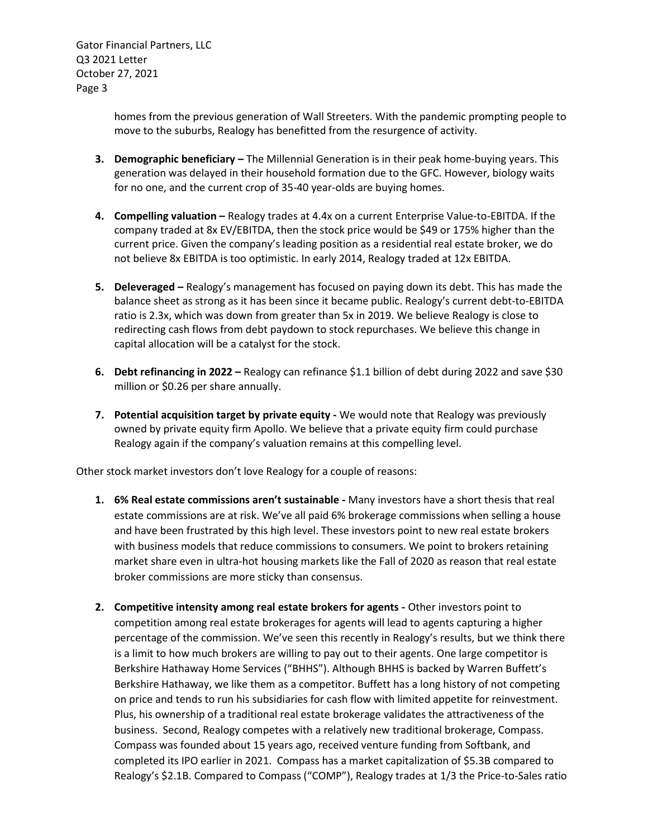> homes from the previous generation of Wall Streeters. With the pandemic prompting people to move to the suburbs, Realogy has benefitted from the resurgence of activity.

- 3. Demographic beneficiary The Millennial Generation is in their peak home-buying years. This generation was delayed in their household formation due to the GFC. However, biology waits for no one, and the current crop of 35-40 year-olds are buying homes.
- 4. Compelling valuation Realogy trades at 4.4x on a current Enterprise Value-to-EBITDA. If the company traded at 8x EV/EBITDA, then the stock price would be \$49 or 175% higher than the current price. Given the company's leading position as a residential real estate broker, we do not believe 8x EBITDA is too optimistic. In early 2014, Realogy traded at 12x EBITDA.
- 5. Deleveraged Realogy's management has focused on paying down its debt. This has made the balance sheet as strong as it has been since it became public. Realogy's current debt-to-EBITDA ratio is 2.3x, which was down from greater than 5x in 2019. We believe Realogy is close to redirecting cash flows from debt paydown to stock repurchases. We believe this change in capital allocation will be a catalyst for the stock.
- 6. Debt refinancing in 2022 Realogy can refinance \$1.1 billion of debt during 2022 and save \$30 million or \$0.26 per share annually.
- 7. Potential acquisition target by private equity We would note that Realogy was previously owned by private equity firm Apollo. We believe that a private equity firm could purchase Realogy again if the company's valuation remains at this compelling level.

Other stock market investors don't love Realogy for a couple of reasons:

- 1. 6% Real estate commissions aren't sustainable Many investors have a short thesis that real estate commissions are at risk. We've all paid 6% brokerage commissions when selling a house and have been frustrated by this high level. These investors point to new real estate brokers with business models that reduce commissions to consumers. We point to brokers retaining market share even in ultra-hot housing markets like the Fall of 2020 as reason that real estate broker commissions are more sticky than consensus.
- 2. Competitive intensity among real estate brokers for agents Other investors point to competition among real estate brokerages for agents will lead to agents capturing a higher percentage of the commission. We've seen this recently in Realogy's results, but we think there is a limit to how much brokers are willing to pay out to their agents. One large competitor is Berkshire Hathaway Home Services ("BHHS"). Although BHHS is backed by Warren Buffett's Berkshire Hathaway, we like them as a competitor. Buffett has a long history of not competing on price and tends to run his subsidiaries for cash flow with limited appetite for reinvestment. Plus, his ownership of a traditional real estate brokerage validates the attractiveness of the business. Second, Realogy competes with a relatively new traditional brokerage, Compass. Compass was founded about 15 years ago, received venture funding from Softbank, and completed its IPO earlier in 2021. Compass has a market capitalization of \$5.3B compared to Realogy's \$2.1B. Compared to Compass ("COMP"), Realogy trades at 1/3 the Price-to-Sales ratio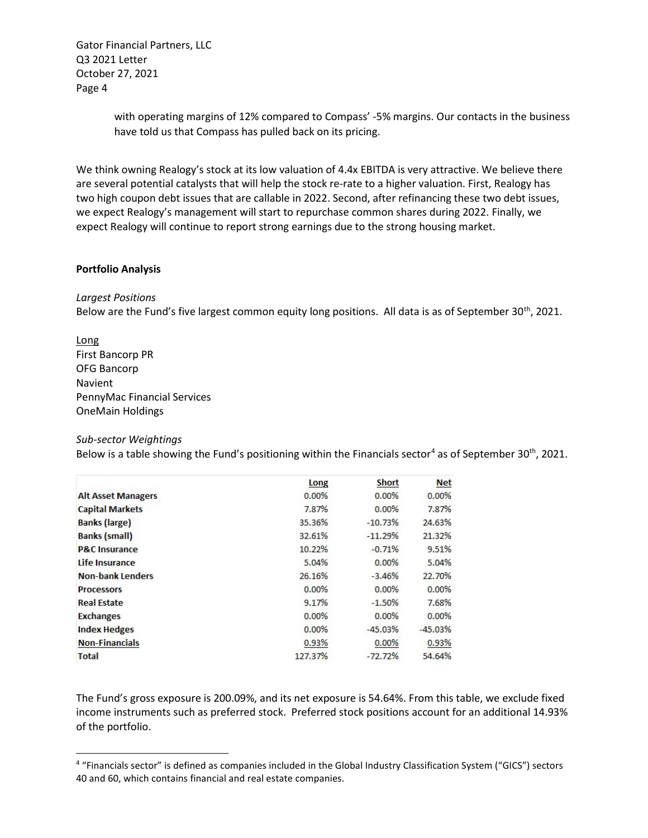> with operating margins of 12% compared to Compass' -5% margins. Our contacts in the business have told us that Compass has pulled back on its pricing.

We think owning Realogy's stock at its low valuation of 4.4x EBITDA is very attractive. We believe there are several potential catalysts that will help the stock re-rate to a higher valuation. First, Realogy has two high coupon debt issues that are callable in 2022. Second, after refinancing these two debt issues, we expect Realogy's management will start to repurchase common shares during 2022. Finally, we expect Realogy will continue to report strong earnings due to the strong housing market.

## Portfolio Analysis

# Largest Positions

Below are the Fund's five largest common equity long positions. All data is as of September 30<sup>th</sup>, 2021.

Long First Bancorp PR OFG Bancorp Navient PennyMac Financial Services OneMain Holdings

#### Sub-sector Weightings

Below is a table showing the Fund's positioning within the Financials sector<sup>4</sup> as of September 30<sup>th</sup>, 2021.

|                           | Long    | <b>Short</b> | <b>Net</b> |
|---------------------------|---------|--------------|------------|
| <b>Alt Asset Managers</b> | 0.00%   | 0.00%        | 0.00%      |
| <b>Capital Markets</b>    | 7.87%   | 0.00%        | 7.87%      |
| <b>Banks (large)</b>      | 35.36%  | $-10.73%$    | 24.63%     |
| <b>Banks (small)</b>      | 32.61%  | $-11.29%$    | 21.32%     |
| <b>P&amp;C Insurance</b>  | 10.22%  | $-0.71%$     | 9.51%      |
| Life Insurance            | 5.04%   | 0.00%        | 5.04%      |
| <b>Non-bank Lenders</b>   | 26.16%  | $-3.46%$     | 22.70%     |
| <b>Processors</b>         | 0.00%   | $0.00\%$     | 0.00%      |
| <b>Real Estate</b>        | 9.17%   | $-1.50%$     | 7.68%      |
| <b>Exchanges</b>          | 0.00%   | 0.00%        | 0.00%      |
| <b>Index Hedges</b>       | 0.00%   | $-45.03%$    | $-45.03%$  |
| <b>Non-Financials</b>     | 0.93%   | 0.00%        | 0.93%      |
| <b>Total</b>              | 127.37% | $-72.72%$    | 54.64%     |

The Fund's gross exposure is 200.09%, and its net exposure is 54.64%. From this table, we exclude fixed income instruments such as preferred stock. Preferred stock positions account for an additional 14.93% of the portfolio.

<sup>4</sup> "Financials sector" is defined as companies included in the Global Industry Classification System ("GICS") sectors 40 and 60, which contains financial and real estate companies.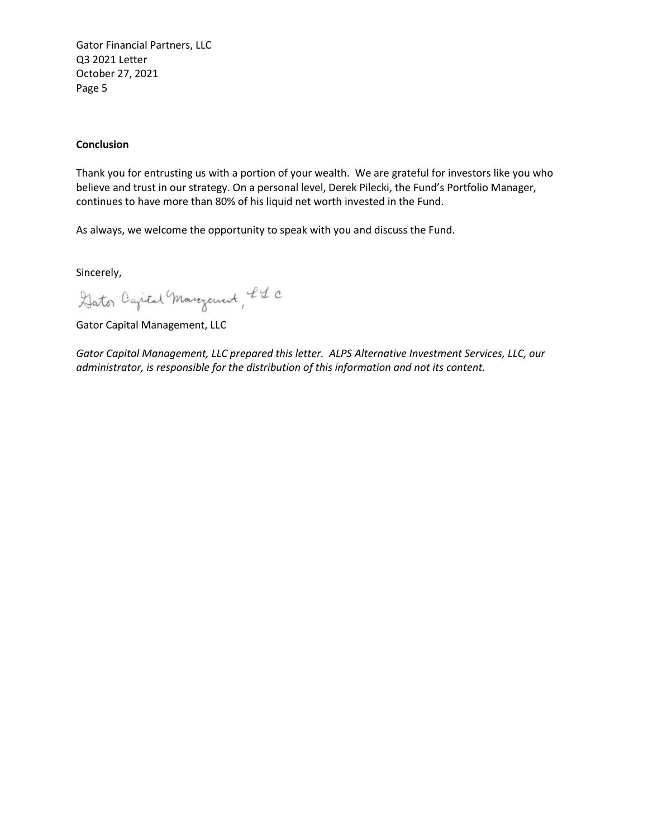## **Conclusion**

Thank you for entrusting us with a portion of your wealth. We are grateful for investors like you who believe and trust in our strategy. On a personal level, Derek Pilecki, the Fund's Portfolio Manager, continues to have more than 80% of his liquid net worth invested in the Fund.

As always, we welcome the opportunity to speak with you and discuss the Fund.

Sincerely,

Gator Capital Margaret, LL C

Gator Capital Management, LLC

Gator Capital Management, LLC prepared this letter. ALPS Alternative Investment Services, LLC, our administrator, is responsible for the distribution of this information and not its content.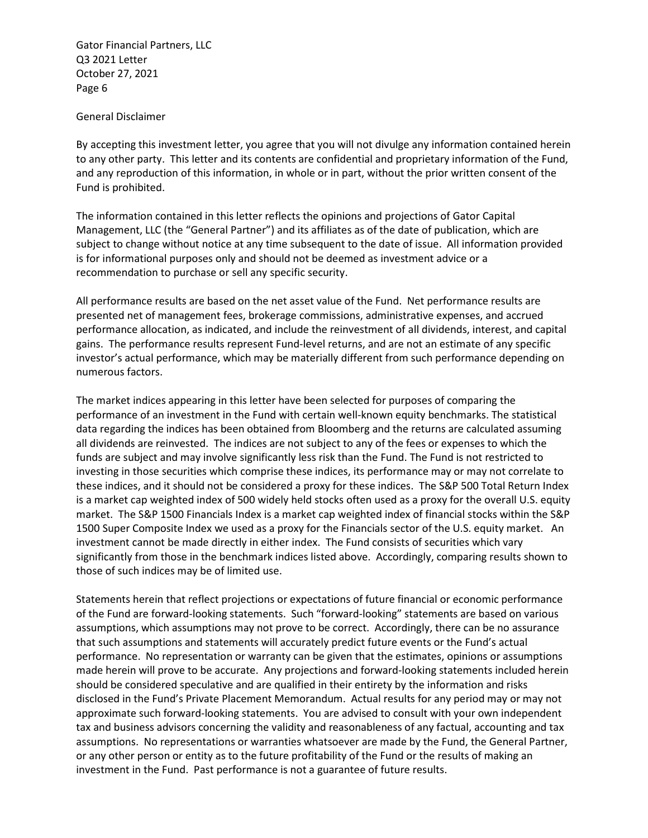General Disclaimer

By accepting this investment letter, you agree that you will not divulge any information contained herein to any other party. This letter and its contents are confidential and proprietary information of the Fund, and any reproduction of this information, in whole or in part, without the prior written consent of the Fund is prohibited.

The information contained in this letter reflects the opinions and projections of Gator Capital Management, LLC (the "General Partner") and its affiliates as of the date of publication, which are subject to change without notice at any time subsequent to the date of issue. All information provided is for informational purposes only and should not be deemed as investment advice or a recommendation to purchase or sell any specific security.

All performance results are based on the net asset value of the Fund. Net performance results are presented net of management fees, brokerage commissions, administrative expenses, and accrued performance allocation, as indicated, and include the reinvestment of all dividends, interest, and capital gains. The performance results represent Fund-level returns, and are not an estimate of any specific investor's actual performance, which may be materially different from such performance depending on numerous factors.

The market indices appearing in this letter have been selected for purposes of comparing the performance of an investment in the Fund with certain well-known equity benchmarks. The statistical data regarding the indices has been obtained from Bloomberg and the returns are calculated assuming all dividends are reinvested. The indices are not subject to any of the fees or expenses to which the funds are subject and may involve significantly less risk than the Fund. The Fund is not restricted to investing in those securities which comprise these indices, its performance may or may not correlate to these indices, and it should not be considered a proxy for these indices. The S&P 500 Total Return Index is a market cap weighted index of 500 widely held stocks often used as a proxy for the overall U.S. equity market. The S&P 1500 Financials Index is a market cap weighted index of financial stocks within the S&P 1500 Super Composite Index we used as a proxy for the Financials sector of the U.S. equity market. An investment cannot be made directly in either index. The Fund consists of securities which vary significantly from those in the benchmark indices listed above. Accordingly, comparing results shown to those of such indices may be of limited use.

Statements herein that reflect projections or expectations of future financial or economic performance of the Fund are forward-looking statements. Such "forward-looking" statements are based on various assumptions, which assumptions may not prove to be correct. Accordingly, there can be no assurance that such assumptions and statements will accurately predict future events or the Fund's actual performance. No representation or warranty can be given that the estimates, opinions or assumptions made herein will prove to be accurate. Any projections and forward-looking statements included herein should be considered speculative and are qualified in their entirety by the information and risks disclosed in the Fund's Private Placement Memorandum. Actual results for any period may or may not approximate such forward-looking statements. You are advised to consult with your own independent tax and business advisors concerning the validity and reasonableness of any factual, accounting and tax assumptions. No representations or warranties whatsoever are made by the Fund, the General Partner, or any other person or entity as to the future profitability of the Fund or the results of making an investment in the Fund. Past performance is not a guarantee of future results.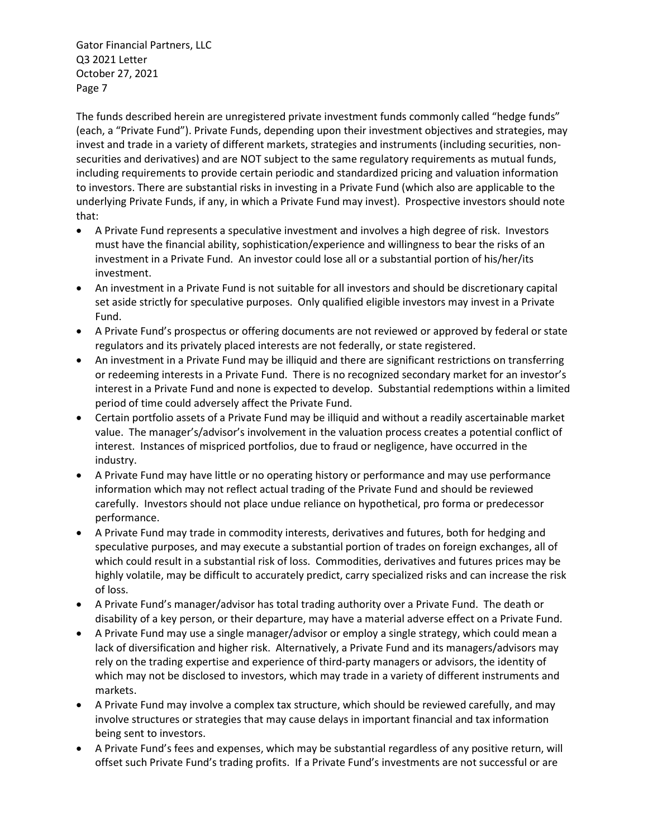The funds described herein are unregistered private investment funds commonly called "hedge funds" (each, a "Private Fund"). Private Funds, depending upon their investment objectives and strategies, may invest and trade in a variety of different markets, strategies and instruments (including securities, nonsecurities and derivatives) and are NOT subject to the same regulatory requirements as mutual funds, including requirements to provide certain periodic and standardized pricing and valuation information to investors. There are substantial risks in investing in a Private Fund (which also are applicable to the underlying Private Funds, if any, in which a Private Fund may invest). Prospective investors should note that:

- A Private Fund represents a speculative investment and involves a high degree of risk. Investors must have the financial ability, sophistication/experience and willingness to bear the risks of an investment in a Private Fund. An investor could lose all or a substantial portion of his/her/its investment.
- An investment in a Private Fund is not suitable for all investors and should be discretionary capital set aside strictly for speculative purposes. Only qualified eligible investors may invest in a Private Fund.
- A Private Fund's prospectus or offering documents are not reviewed or approved by federal or state regulators and its privately placed interests are not federally, or state registered.
- An investment in a Private Fund may be illiquid and there are significant restrictions on transferring or redeeming interests in a Private Fund. There is no recognized secondary market for an investor's interest in a Private Fund and none is expected to develop. Substantial redemptions within a limited period of time could adversely affect the Private Fund.
- Certain portfolio assets of a Private Fund may be illiquid and without a readily ascertainable market value. The manager's/advisor's involvement in the valuation process creates a potential conflict of interest. Instances of mispriced portfolios, due to fraud or negligence, have occurred in the industry.
- A Private Fund may have little or no operating history or performance and may use performance information which may not reflect actual trading of the Private Fund and should be reviewed carefully. Investors should not place undue reliance on hypothetical, pro forma or predecessor performance.
- A Private Fund may trade in commodity interests, derivatives and futures, both for hedging and speculative purposes, and may execute a substantial portion of trades on foreign exchanges, all of which could result in a substantial risk of loss. Commodities, derivatives and futures prices may be highly volatile, may be difficult to accurately predict, carry specialized risks and can increase the risk of loss.
- A Private Fund's manager/advisor has total trading authority over a Private Fund. The death or disability of a key person, or their departure, may have a material adverse effect on a Private Fund.
- A Private Fund may use a single manager/advisor or employ a single strategy, which could mean a lack of diversification and higher risk. Alternatively, a Private Fund and its managers/advisors may rely on the trading expertise and experience of third-party managers or advisors, the identity of which may not be disclosed to investors, which may trade in a variety of different instruments and markets.
- A Private Fund may involve a complex tax structure, which should be reviewed carefully, and may involve structures or strategies that may cause delays in important financial and tax information being sent to investors.
- A Private Fund's fees and expenses, which may be substantial regardless of any positive return, will offset such Private Fund's trading profits. If a Private Fund's investments are not successful or are